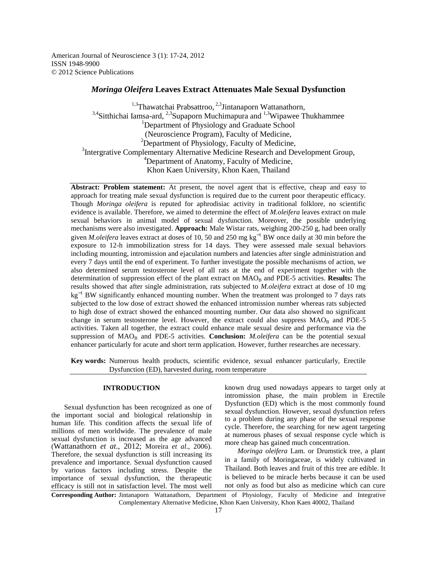American Journal of Neuroscience 3 (1): 17-24, 2012 ISSN 1948-9900 © 2012 Science Publications

# *Moringa Oleifera* **Leaves Extract Attenuates Male Sexual Dysfunction**

<sup>1,3</sup>Thawatchai Prabsattroo,  $^{2,3}$ Jintanaporn Wattanathorn,  $3,4$ Sitthichai Iamsa-ard,  $2,3$ Supaporn Muchimapura and  $1,3$ Wipawee Thukhammee <sup>1</sup>Department of Physiology and Graduate School (Neuroscience Program), Faculty of Medicine,  $2$ Department of Physiology, Faculty of Medicine, <sup>3</sup>Intergrative Complementary Alternative Medicine Research and Development Group, <sup>4</sup>Department of Anatomy, Faculty of Medicine, Khon Kaen University, Khon Kaen, Thailand

**Abstract: Problem statement:** At present, the novel agent that is effective, cheap and easy to approach for treating male sexual dysfunction is required due to the current poor therapeutic efficacy. Though *Moringa oleifera* is reputed for aphrodisiac activity in traditional folklore, no scientific evidence is available. Therefore, we aimed to determine the effect of *M.oleifera* leaves extract on male sexual behaviors in animal model of sexual dysfunction. Moreover, the possible underlying mechanisms were also investigated. **Approach:** Male Wistar rats, weighing 200-250 g, had been orally given *M.oleifera* leaves extract at doses of 10, 50 and 250 mg kg<sup>-1</sup> BW once daily at 30 min before the exposure to 12-h immobilization stress for 14 days. They were assessed male sexual behaviors including mounting, intromission and ejaculation numbers and latencies after single administration and every 7 days until the end of experiment. To further investigate the possible mechanisms of action, we also determined serum testosterone level of all rats at the end of experiment together with the determination of suppression effect of the plant extract on MAO<sub>B</sub> and PDE-5 activities. **Results:** The results showed that after single administration, rats subjected to *M.oleifera* extract at dose of 10 mg kg<sup>-1</sup> BW significantly enhanced mounting number. When the treatment was prolonged to 7 days rats subjected to the low dose of extract showed the enhanced intromission number whereas rats subjected to high dose of extract showed the enhanced mounting number. Our data also showed no significant change in serum testosterone level. However, the extract could also suppress  $MAO<sub>B</sub>$  and PDE-5 activities. Taken all together, the extract could enhance male sexual desire and performance via the suppression of MAO<sub>B</sub> and PDE-5 activities. Conclusion: *M.oleifera* can be the potential sexual enhancer particularly for acute and short term application. However, further researches are necessary.

**Key words:** Numerous health products, scientific evidence, sexual enhancer particularly, Erectile Dysfunction (ED), harvested during, room temperature

## **INTRODUCTION**

 Sexual dysfunction has been recognized as one of the important social and biological relationship in human life. This condition affects the sexual life of millions of men worldwide. The prevalence of male sexual dysfunction is increased as the age advanced (Wattanathorn *et at*., 2012; Moreira *et al*., 2006). Therefore, the sexual dysfunction is still increasing its prevalence and importance. Sexual dysfunction caused by various factors including stress. Despite the importance of sexual dysfunction, the therapeutic efficacy is still not in satisfaction level. The most well

known drug used nowadays appears to target only at intromission phase, the main problem in Erectile Dysfunction (ED) which is the most commonly found sexual dysfunction. However, sexual dysfunction refers to a problem during any phase of the sexual response cycle. Therefore, the searching for new agent targeting at numerous phases of sexual response cycle which is more cheap has gained much concentration.

 *Moringa oleifera* Lam. or Drumstick tree, a plant in a family of Moringaceae, is widely cultivated in Thailand. Both leaves and fruit of this tree are edible. It is believed to be miracle herbs because it can be used not only as food but also as medicine which can cure

**Corresponding Author:** Jintanaporn Wattanathorn, Department of Physiology, Faculty of Medicine and Integrative Complementary Alternative Medicine, Khon Kaen University, Khon Kaen 40002, Thailand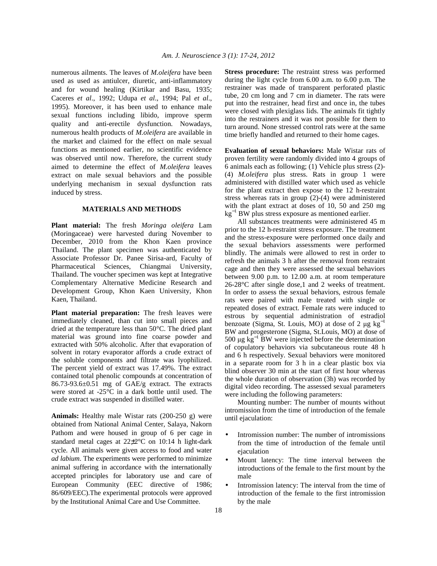numerous ailments. The leaves of *M.oleifera* have been used as used as antiulcer, diuretic, anti-inflammatory and for wound healing (Kirtikar and Basu, 1935; Caceres *et al*., 1992; Udupa *et al*., 1994; Pal *et al*., 1995). Moreover, it has been used to enhance male sexual functions including libido, improve sperm quality and anti-erectile dysfunction. Nowadays, numerous health products of *M.oleifera* are available in the market and claimed for the effect on male sexual functions as mentioned earlier, no scientific evidence was observed until now. Therefore, the current study aimed to determine the effect of *M.oleifera* leaves extract on male sexual behaviors and the possible underlying mechanism in sexual dysfunction rats induced by stress.

# **MATERIALS AND METHODS**

**Plant material:** The fresh *Moringa oleifera* Lam (Moringaceae) were harvested during November to December, 2010 from the Khon Kaen province Thailand. The plant specimen was authenticated by Associate Professor Dr. Panee Sirisa-ard, Faculty of Pharmaceutical Sciences, Chiangmai University, Thailand. The voucher specimen was kept at Integrative Complementary Alternative Medicine Research and Development Group, Khon Kaen University, Khon Kaen, Thailand.

**Plant material preparation:** The fresh leaves were immediately cleaned, than cut into small pieces and dried at the temperature less than 50°C. The dried plant material was ground into fine coarse powder and extracted with 50% alcoholic. After that evaporation of solvent in rotary evaporator affords a crude extract of the soluble components and filtrate was lyophilized. The percent yield of extract was 17.49%. The extract contained total phenolic compounds at concentration of 86.73-93.6±0.51 mg of GAE/g extract. The extracts were stored at -25°C in a dark bottle until used. The crude extract was suspended in distilled water.

**Animals:** Healthy male Wistar rats (200-250 g) were obtained from National Animal Center, Salaya, Nakorn Pathom and were housed in group of 6 per cage in standard metal cages at 22±2°C on 10:14 h light-dark cycle. All animals were given access to food and water *ad labium*. The experiments were performed to minimize animal suffering in accordance with the internationally accepted principles for laboratory use and care of European Community (EEC directive of 1986; 86/609/EEC).The experimental protocols were approved by the Institutional Animal Care and Use Committee.

**Stress procedure:** The restraint stress was performed during the light cycle from 6.00 a.m. to 6.00 p.m. The restrainer was made of transparent perforated plastic tube, 20 cm long and 7 cm in diameter. The rats were put into the restrainer, head first and once in, the tubes were closed with plexiglass lids. The animals fit tightly into the restrainers and it was not possible for them to turn around. None stressed control rats were at the same time briefly handled and returned to their home cages.

**Evaluation of sexual behaviors:** Male Wistar rats of proven fertility were randomly divided into 4 groups of 6 animals each as following; (1) Vehicle plus stress (2)- (4) *M.oleifera* plus stress. Rats in group 1 were administered with distilled water which used as vehicle for the plant extract then expose to the 12 h-restraint stress whereas rats in group (2)-(4) were administered with the plant extract at doses of 10, 50 and 250 mg kg<sup>−</sup><sup>1</sup> BW plus stress exposure as mentioned earlier.

 All substances treatments were administered 45 m prior to the 12 h-restraint stress exposure. The treatment and the stress-exposure were performed once daily and the sexual behaviors assessments were performed blindly. The animals were allowed to rest in order to refresh the animals 3 h after the removal from restraint cage and then they were assessed the sexual behaviors between 9.00 p.m. to 12.00 a.m. at room temperature 26-28°C after single dose,1 and 2 weeks of treatment. In order to assess the sexual behaviors, estrous female rats were paired with male treated with single or repeated doses of extract. Female rats were induced to estrous by sequential administration of estradiol benzoate (Sigma, St. Louis, MO) at dose of 2  $\mu$ g kg<sup>-1</sup> BW and progesterone (Sigma, St.Louis, MO) at dose of 500 μg  $kg^{-1}$  BW were injected before the determination of copulatory behaviors via subcutaneous route 48 h and 6 h respectively. Sexual behaviors were monitored in a separate room for 3 h in a clear plastic box via blind observer 30 min at the start of first hour whereas the whole duration of observation (3h) was recorded by digital video recording. The assessed sexual parameters were including the following parameters:

 Mounting number: The number of mounts without intromission from the time of introduction of the female until ejaculation:

- Intromission number: The number of intromissions from the time of introduction of the female until ejaculation
- Mount latency: The time interval between the introductions of the female to the first mount by the male
- Intromission latency: The interval from the time of introduction of the female to the first intromission by the male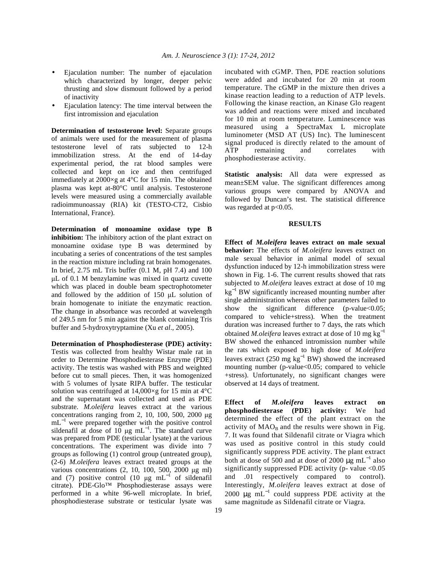- Ejaculation number: The number of ejaculation which characterized by longer, deeper pelvic thrusting and slow dismount followed by a period of inactivity
- Ejaculation latency: The time interval between the first intromission and ejaculation

**Determination of testosterone level:** Separate groups of animals were used for the measurement of plasma testosterone level of rats subjected to 12-h immobilization stress. At the end of 14-day experimental period, the rat blood samples were collected and kept on ice and then centrifuged immediately at 2000×g at 4°C for 15 min. The obtained plasma was kept at-80°C until analysis. Testosterone levels were measured using a commercially available radioimmunoassay (RIA) kit (TESTO-CT2, Cisbio International, France).

**Determination of monoamine oxidase type B inhibition:** The inhibitory action of the plant extract on monoamine oxidase type B was determined by incubating a series of concentrations of the test samples in the reaction mixture including rat brain homogenates. In brief, 2.75 mL Tris buffer (0.1 M, pH 7.4) and 100 µL of 0.1 M benzylamine was mixed in quartz cuvette which was placed in double beam spectrophotometer and followed by the addition of 150 µL solution of brain homogenate to initiate the enzymatic reaction. The change in absorbance was recorded at wavelength of 249.5 nm for 5 min against the blank containing Tris buffer and 5-hydroxytryptamine (Xu *et al*., 2005).

**Determination of Phosphodiesterase (PDE) activity:**  Testis was collected from healthy Wistar male rat in order to Determine Phosphodiesterase Enzyme (PDE) activity. The testis was washed with PBS and weighted before cut to small pieces. Then, it was homogenized with 5 volumes of lysate RIPA buffer. The testicular solution was centrifuged at  $14,000\times g$  for 15 min at  $4^{\circ}$ C and the supernatant was collected and used as PDE substrate. *M.oleifera* leaves extract at the various concentrations ranging from 2, 10, 100, 500, 2000  $\mu$ g mL<sup>-1</sup> were prepared together with the positive control sildenafil at dose of 10 µg mL<sup>-1</sup>. The standard curve was prepared from PDE (testicular lysate) at the various concentrations. The experiment was divide into 7 groups as following (1) control group (untreated group), (2-6) *M.oleifera* leaves extract treated groups at the various concentrations (2, 10, 100, 500, 2000 µg ml) and (7) positive control (10  $\mu$ g mL<sup>-1</sup> of sildenafil citrate). PDE-Glo™ Phosphodiesterase assays were performed in a white 96-well microplate. In brief, phosphodiesterase substrate or testicular lysate was

incubated with cGMP. Then, PDE reaction solutions were added and incubated for 20 min at room temperature. The cGMP in the mixture then drives a kinase reaction leading to a reduction of ATP levels. Following the kinase reaction, an Kinase Glo reagent was added and reactions were mixed and incubated for 10 min at room temperature. Luminescence was measured using a SpectraMax L microplate luminometer (MSD AT (US) Inc). The luminescent signal produced is directly related to the amount of ATP remaining and correlates with phosphodiesterase activity.

**Statistic analysis:** All data were expressed as mean±SEM value. The significant differences among various groups were compared by ANOVA and followed by Duncan's test. The statistical difference was regarded at  $p<0.05$ .

### **RESULTS**

**Effect of** *M.oleifera* **leaves extract on male sexual behavior:** The effects of *M.oleifera* leaves extract on male sexual behavior in animal model of sexual dysfunction induced by 12-h immobilization stress were shown in Fig. 1-6. The current results showed that rats subjected to *M.oleifera* leaves extract at dose of 10 mg kg<sup>−</sup><sup>1</sup> BW significantly increased mounting number after single administration whereas other parameters failed to show the significant difference ( $p$ -value $<0.05$ ; compared to vehicle+stress). When the treatment duration was increased further to 7 days, the rats which obtained *M.oleifera* leaves extract at dose of 10 mg kg<sup>−</sup><sup>1</sup> BW showed the enhanced intromission number while the rats which exposed to high dose of *M.oleifera* leaves extract (250 mg  $kg^{-1}$  BW) showed the increased mounting number (p-value<0.05; compared to vehicle +stress). Unfortunately, no significant changes were observed at 14 days of treatment.

**Effect of** *M.oleifera* **leaves extract on phosphodiesterase (PDE) activity:** We had determined the effect of the plant extract on the activity of  $\text{MAO}_B$  and the results were shown in Fig. 7. It was found that Sildenafil citrate or Viagra which was used as positive control in this study could significantly suppress PDE activity. The plant extract both at dose of 500 and at dose of 2000  $\mu$ g mL<sup>-1</sup> also significantly suppressed PDE activity ( $p$ - value <0.05 and .01 respectively compared to control). Interestingly, *M.oleifera* leaves extract at dose of 2000  $\mu$ g mL<sup>-1</sup> could suppress PDE activity at the same magnitude as Sildenafil citrate or Viagra.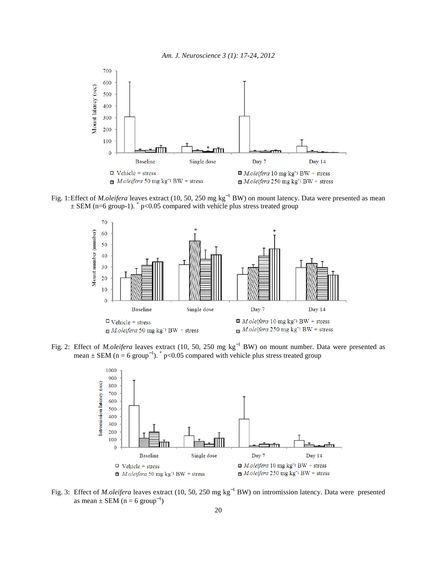



Fig. 1: Effect of *M.oleifera* leaves extract (10, 50, 250 mg kg<sup>-1</sup> BW) on mount latency. Data were presented as mean  $\pm$  SEM (n=6 group-1).  $\degree$  p<0.05 compared with vehicle plus stress treated group



Fig. 2: Effect of *M.oleifera* leaves extract (10, 50, 250 mg kg<sup>-1</sup> BW) on mount number. Data were presented as mean  $\pm$  SEM (n = 6 group<sup>-1</sup>). <sup>\*</sup> p<0.05 compared with vehicle plus stress treated group



Fig. 3: Effect of *M.oleifera* leaves extract (10, 50, 250 mg kg<sup>-1</sup> BW) on intromission latency. Data were presented as mean  $\pm$  SEM (n = 6 group<sup>-1</sup>)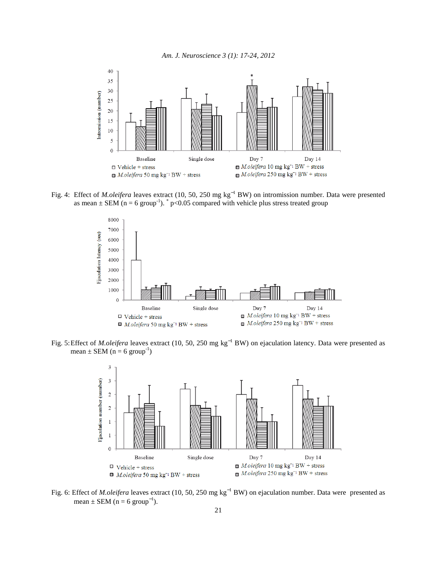



Fig. 4: Effect of *M.oleifera* leaves extract (10, 50, 250 mg kg<sup>-1</sup> BW) on intromission number. Data were presented as mean  $\pm$  SEM (n = 6 group<sup>-1</sup>).  $\degree$  p<0.05 compared with vehicle plus stress treated group



Fig. 5: Effect of *M.oleifera* leaves extract (10, 50, 250 mg kg<sup>-1</sup> BW) on ejaculation latency. Data were presented as mean  $\pm$  SEM (n = 6 group<sup>-1</sup>)



Fig. 6: Effect of *M.oleifera* leaves extract (10, 50, 250 mg kg<sup>-1</sup> BW) on ejaculation number. Data were presented as mean  $\pm$  SEM (n = 6 group<sup>-1</sup>).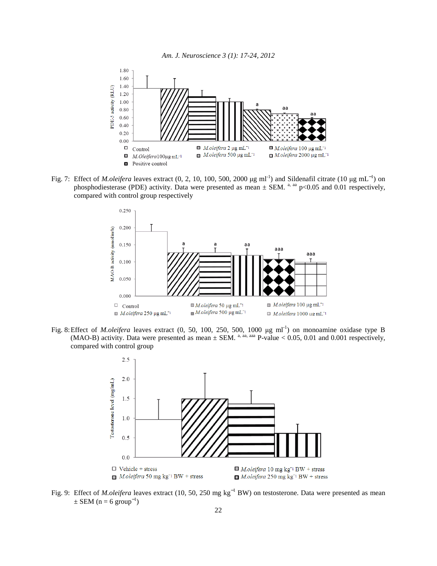

Fig. 7: Effect of *M.oleifera* leaves extract (0, 2, 10, 100, 500, 2000 µg ml<sup>-1</sup>) and Sildenafil citrate (10 µg mL<sup>-1</sup>) on phosphodiesterase (PDE) activity. Data were presented as mean  $\pm$  SEM. <sup>a, aa</sup> p<0.05 and 0.01 respectively, compared with control group respectively



Fig. 8: Effect of *M.oleifera* leaves extract (0, 50, 100, 250, 500, 1000 µg ml<sup>-1</sup>) on monoamine oxidase type B (MAO-B) activity. Data were presented as mean  $\pm$  SEM. <sup>a, aa, aaa</sup> P-value < 0.05, 0.01 and 0.001 respectively, compared with control group



Fig. 9: Effect of *M.oleifera* leaves extract (10, 50, 250 mg kg<sup>-1</sup> BW) on testosterone. Data were presented as mean  $\pm$  SEM (n = 6 group<sup>-1</sup>)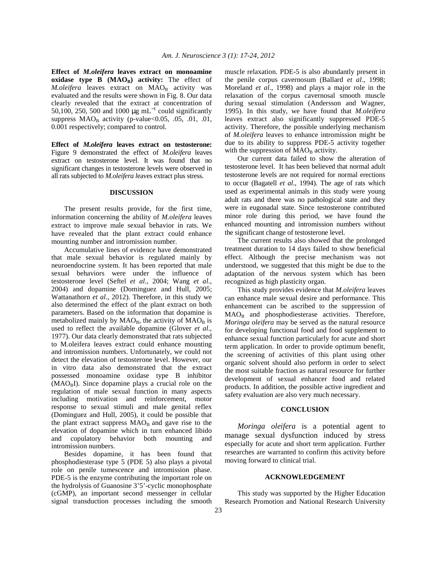**Effect of** *M.oleifera* **leaves extract on monoamine oxidase type B (MAO<sub>B</sub>) activity:** The effect of *M.oleifera* leaves extract on MAO<sub>B</sub> activity was evaluated and the results were shown in Fig. 8. Our data clearly revealed that the extract at concentration of 50,100, 250, 500 and 1000  $\mu$ g mL<sup>-1</sup> could significantly suppress  $MAO_B$  activity (p-value < 0.05, .05, .01, .01, 0.001 respectively; compared to control.

**Effect of** *M.oleifera* **leaves extract on testosterone:**  Figure 9 demonstrated the effect of *M.oleifera* leaves extract on testosterone level. It was found that no significant changes in testosterone levels were observed in all rats subjected to *M.oleifera l*eaves extract plus stress.

### **DISCUSSION**

 The present results provide, for the first time, information concerning the ability of *M.oleifera* leaves extract to improve male sexual behavior in rats. We have revealed that the plant extract could enhance mounting number and intromission number.

 Accumulative lines of evidence have demonstrated that male sexual behavior is regulated mainly by neuroendocrine system. It has been reported that male sexual behaviors were under the influence of testosterone level (Seftel *et al*., 2004; Wang *et al*., 2004) and dopamine (Dominguez and Hull, 2005; Wattanathorn *et al*., 2012). Therefore, in this study we also determined the effect of the plant extract on both parameters. Based on the information that dopamine is metabolized mainly by  $\text{MAO}_B$ , the activity of  $\text{MAO}_B$  is used to reflect the available dopamine (Glover *et al*., 1977). Our data clearly demonstrated that rats subjected to M.oleifera leaves extract could enhance mounting and intromission numbers. Unfortunately, we could not detect the elevation of testosterone level. However, our in vitro data also demonstrated that the extract possessed monoamine oxidase type B inhibitor  $(MAO<sub>B</sub>I)$ . Since dopamine plays a crucial role on the regulation of male sexual function in many aspects including motivation and reinforcement, motor response to sexual stimuli and male genital reflex (Dominguez and Hull, 2005), it could be possible that the plant extract suppress MAO<sub>B</sub> and gave rise to the elevation of dopamine which in turn enhanced libido and copulatory behavior both mounting and intromission numbers.

 Besides dopamine, it has been found that phosphodiesterase type 5 (PDE 5) also plays a pivotal role on penile tumescence and intromission phase. PDE-5 is the enzyme contributing the important role on the hydrolysis of Guanosine 3'5'-cyclic monophosphate (cGMP), an important second messenger in cellular signal transduction processes including the smooth

muscle relaxation. PDE-5 is also abundantly present in the penile corpus cavernosum (Ballard *et al*., 1998; Moreland *et al*., 1998) and plays a major role in the relaxation of the corpus cavernosal smooth muscle during sexual stimulation (Andersson and Wagner, 1995). In this study, we have found that *M.oleifera* leaves extract also significantly suppressed PDE-5 activity. Therefore, the possible underlying mechanism of *M.oleifera* leaves to enhance intromission might be due to its ability to suppress PDE-5 activity together with the suppression of  $\text{MAO}_B$  activity.

 Our current data failed to show the alteration of testosterone level. It has been believed that normal adult testosterone levels are not required for normal erections to occur (Bagatell *et al*., 1994). The age of rats which used as experimental animals in this study were young adult rats and there was no pathological state and they were in eugonadal state. Since testosterone contributed minor role during this period, we have found the enhanced mounting and intromission numbers without the significant change of testosterone level.

 The current results also showed that the prolonged treatment duration to 14 days failed to show beneficial effect. Although the precise mechanism was not understood, we suggested that this might be due to the adaptation of the nervous system which has been recognized as high plasticity organ.

 This study provides evidence that *M.oleifera* leaves can enhance male sexual desire and performance. This enhancement can be ascribed to the suppression of  $MAO<sub>B</sub>$  and phosphodiesterase activities. Therefore, *Moringa oleifera* may be served as the natural resource for developing functional food and food supplement to enhance sexual function particularly for acute and short term application. In order to provide optimum benefit, the screening of activities of this plant using other organic solvent should also perform in order to select the most suitable fraction as natural resource for further development of sexual enhancer food and related products. In addition, the possible active ingredient and safety evaluation are also very much necessary.

### **CONCLUSION**

 *Moringa oleifera* is a potential agent to manage sexual dysfunction induced by stress especially for acute and short term application. Further researches are warranted to confirm this activity before moving forward to clinical trial.

#### **ACKNOWLEDGEMENT**

 This study was supported by the Higher Education Research Promotion and National Research University